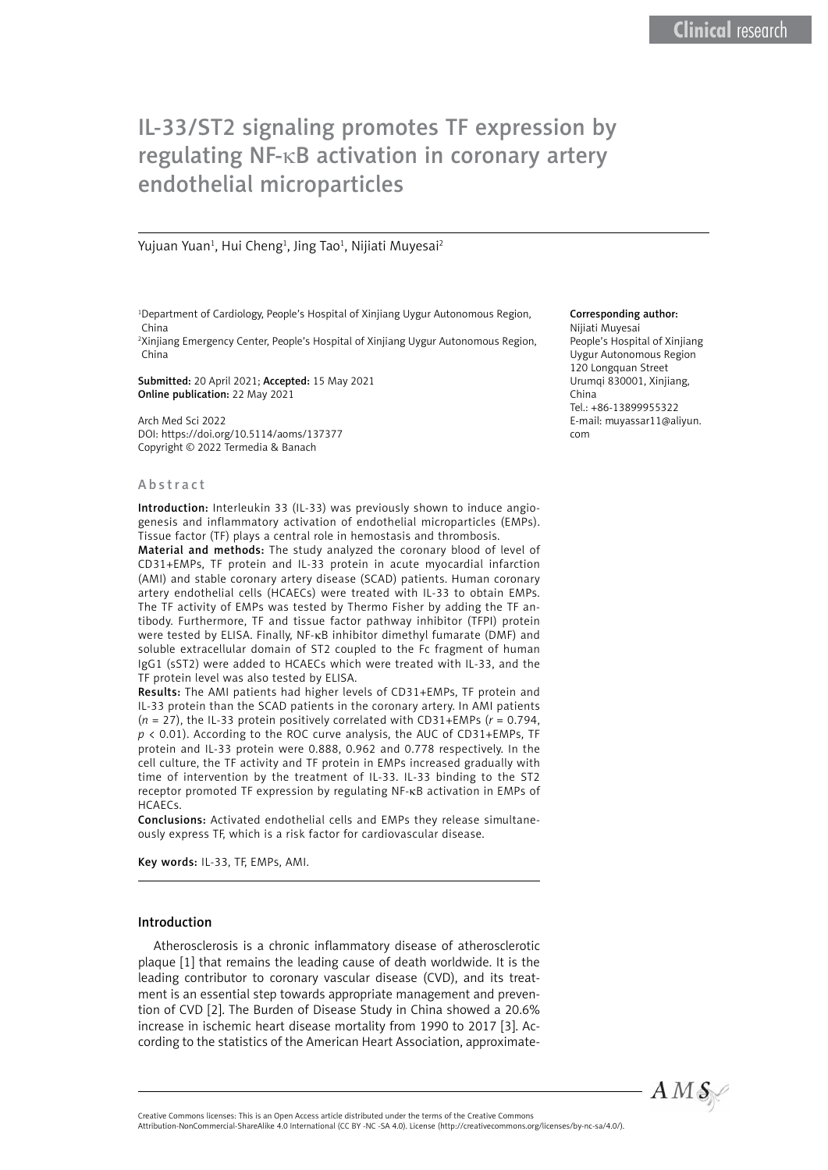# IL-33/ST2 signaling promotes TF expression by regulating NF-κB activation in coronary artery endothelial microparticles

#### Yujuan Yuan<sup>1</sup>, Hui Cheng<sup>1</sup>, Jing Tao<sup>1</sup>, Nijiati Muyesai<sup>2</sup>

<sup>1</sup>Department of Cardiology, People's Hospital of Xinjiang Uygur Autonomous Region, China

2 Xinjiang Emergency Center, People's Hospital of Xinjiang Uygur Autonomous Region, China

Submitted: 20 April 2021; Accepted: 15 May 2021 Online publication: 22 May 2021

Arch Med Sci 2022 DOI: https://doi.org/10.5114/aoms/137377 Copyright © 2022 Termedia & Banach

#### Abstract

Introduction: Interleukin 33 (IL-33) was previously shown to induce angiogenesis and inflammatory activation of endothelial microparticles (EMPs). Tissue factor (TF) plays a central role in hemostasis and thrombosis.

Material and methods: The study analyzed the coronary blood of level of CD31+EMPs, TF protein and IL-33 protein in acute myocardial infarction (AMI) and stable coronary artery disease (SCAD) patients. Human coronary artery endothelial cells (HCAECs) were treated with IL-33 to obtain EMPs. The TF activity of EMPs was tested by Thermo Fisher by adding the TF antibody. Furthermore, TF and tissue factor pathway inhibitor (TFPI) protein were tested by ELISA. Finally, NF-κB inhibitor dimethyl fumarate (DMF) and soluble extracellular domain of ST2 coupled to the Fc fragment of human IgG1 (sST2) were added to HCAECs which were treated with IL-33, and the TF protein level was also tested by ELISA.

Results: The AMI patients had higher levels of CD31+EMPs, TF protein and IL-33 protein than the SCAD patients in the coronary artery. In AMI patients (*n* = 27), the IL-33 protein positively correlated with CD31+EMPs (*r* = 0.794, *p* < 0.01). According to the ROC curve analysis, the AUC of CD31+EMPs, TF protein and IL-33 protein were 0.888, 0.962 and 0.778 respectively. In the cell culture, the TF activity and TF protein in EMPs increased gradually with time of intervention by the treatment of IL-33. IL-33 binding to the ST2 receptor promoted TF expression by regulating NF-κB activation in EMPs of HCAECs.

Conclusions: Activated endothelial cells and EMPs they release simultaneously express TF, which is a risk factor for cardiovascular disease.

Key words: IL-33, TF, EMPs, AMI.

## Introduction

Atherosclerosis is a chronic inflammatory disease of atherosclerotic plaque [1] that remains the leading cause of death worldwide. It is the leading contributor to coronary vascular disease (CVD), and its treatment is an essential step towards appropriate management and prevention of CVD [2]. The Burden of Disease Study in China showed a 20.6% increase in ischemic heart disease mortality from 1990 to 2017 [3]. According to the statistics of the American Heart Association, approximate-

#### Corresponding author:

Nijiati Muyesai People's Hospital of Xinjiang Uygur Autonomous Region 120 Longquan Street Urumqi 830001, Xinjiang, China Tel.: +86-13899955322 E-mail: [muyassar11@aliyun.](mailto:muyassar11@aliyun.com) [com](mailto:muyassar11@aliyun.com)



Attribution-NonCommercial-ShareAlike 4.0 International (CC BY -NC -SA 4.0). License (http://creativecommons.org/licenses/by-nc-sa/4.0/).

Creative Commons licenses: This is an Open Access article distributed under the terms of the Creative Commons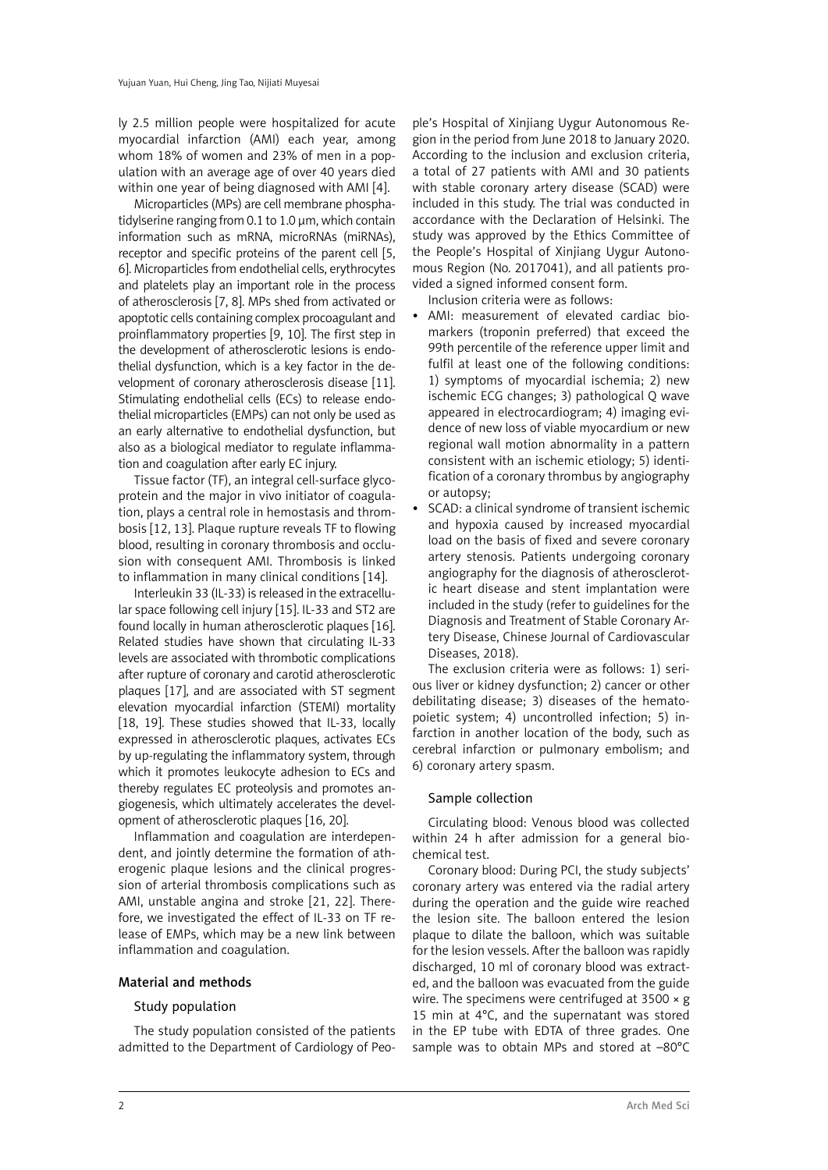ly 2.5 million people were hospitalized for acute myocardial infarction (AMI) each year, among whom 18% of women and 23% of men in a population with an average age of over 40 years died within one year of being diagnosed with AMI [4].

Microparticles (MPs) are cell membrane phosphatidylserine ranging from 0.1 to 1.0 µm, which contain information such as mRNA, microRNAs (miRNAs), receptor and specific proteins of the parent cell [5, 6]. Microparticles from endothelial cells, erythrocytes and platelets play an important role in the process of atherosclerosis [7, 8]. MPs shed from activated or apoptotic cells containing complex procoagulant and proinflammatory properties [9, 10]. The first step in the development of atherosclerotic lesions is endothelial dysfunction, which is a key factor in the development of coronary atherosclerosis disease [11]. Stimulating endothelial cells (ECs) to release endothelial microparticles (EMPs) can not only be used as an early alternative to endothelial dysfunction, but also as a biological mediator to regulate inflammation and coagulation after early EC injury.

Tissue factor (TF), an integral cell-surface glycoprotein and the major in vivo initiator of coagulation, plays a central role in hemostasis and thrombosis [12, 13]. Plaque rupture reveals TF to flowing blood, resulting in coronary thrombosis and occlusion with consequent AMI. Thrombosis is linked to inflammation in many clinical conditions [14].

Interleukin 33 (IL-33) is released in the extracellular space following cell injury [15]. IL-33 and ST2 are found locally in human atherosclerotic plaques [16]. Related studies have shown that circulating IL-33 levels are associated with thrombotic complications after rupture of coronary and carotid atherosclerotic plaques [17], and are associated with ST segment elevation myocardial infarction (STEMI) mortality [18, 19]. These studies showed that IL-33, locally expressed in atherosclerotic plaques, activates ECs by up-regulating the inflammatory system, through which it promotes leukocyte adhesion to ECs and thereby regulates EC proteolysis and promotes angiogenesis, which ultimately accelerates the development of atherosclerotic plaques [16, 20].

Inflammation and coagulation are interdependent, and jointly determine the formation of atherogenic plaque lesions and the clinical progression of arterial thrombosis complications such as AMI, unstable angina and stroke [21, 22]. Therefore, we investigated the effect of IL-33 on TF release of EMPs, which may be a new link between inflammation and coagulation.

# Material and methods

## Study population

The study population consisted of the patients admitted to the Department of Cardiology of Peo-

ple's Hospital of Xinjiang Uygur Autonomous Region in the period from June 2018 to January 2020. According to the inclusion and exclusion criteria, a total of 27 patients with AMI and 30 patients with stable coronary artery disease (SCAD) were included in this study. The trial was conducted in accordance with the Declaration of Helsinki. The study was approved by the Ethics Committee of the People's Hospital of Xinjiang Uygur Autonomous Region (No. 2017041), and all patients provided a signed informed consent form.

Inclusion criteria were as follows:

- AMI: measurement of elevated cardiac biomarkers (troponin preferred) that exceed the 99th percentile of the reference upper limit and fulfil at least one of the following conditions: 1) symptoms of myocardial ischemia; 2) new ischemic ECG changes; 3) pathological Q wave appeared in electrocardiogram; 4) imaging evidence of new loss of viable myocardium or new regional wall motion abnormality in a pattern consistent with an ischemic etiology; 5) identification of a coronary thrombus by angiography or autopsy;
- SCAD: a clinical syndrome of transient ischemic and hypoxia caused by increased myocardial load on the basis of fixed and severe coronary artery stenosis. Patients undergoing coronary angiography for the diagnosis of atherosclerotic heart disease and stent implantation were included in the study (refer to guidelines for the Diagnosis and Treatment of Stable Coronary Artery Disease, Chinese Journal of Cardiovascular Diseases, 2018).

The exclusion criteria were as follows: 1) serious liver or kidney dysfunction; 2) cancer or other debilitating disease; 3) diseases of the hematopoietic system; 4) uncontrolled infection; 5) infarction in another location of the body, such as cerebral infarction or pulmonary embolism; and 6) coronary artery spasm.

## Sample collection

Circulating blood: Venous blood was collected within 24 h after admission for a general biochemical test.

Coronary blood: During PCI, the study subjects' coronary artery was entered via the radial artery during the operation and the guide wire reached the lesion site. The balloon entered the lesion plaque to dilate the balloon, which was suitable for the lesion vessels. After the balloon was rapidly discharged, 10 ml of coronary blood was extracted, and the balloon was evacuated from the guide wire. The specimens were centrifuged at  $3500 \times g$ 15 min at 4°C, and the supernatant was stored in the EP tube with EDTA of three grades. One sample was to obtain MPs and stored at –80°C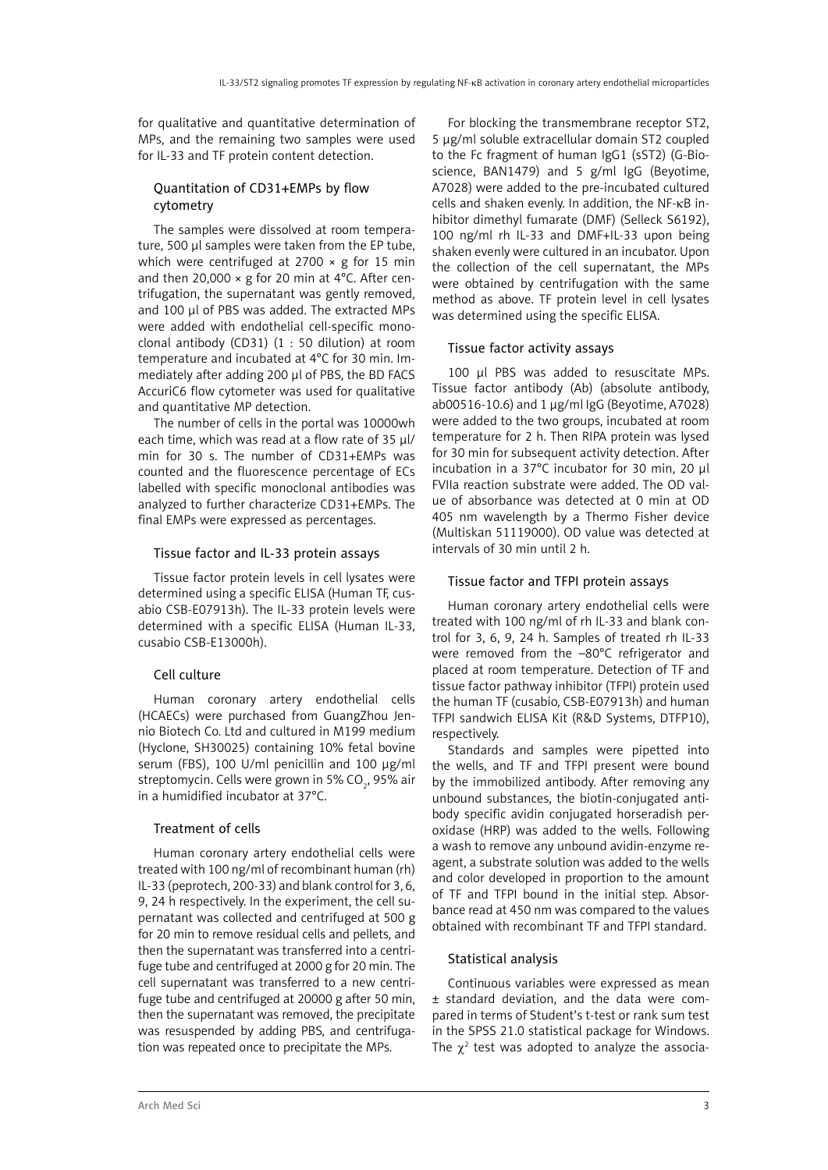for qualitative and quantitative determination of MPs, and the remaining two samples were used for IL-33 and TF protein content detection.

# Quantitation of CD31+EMPs by flow cytometry

The samples were dissolved at room temperature, 500 µl samples were taken from the EP tube, which were centrifuged at 2700  $\times$  g for 15 min and then 20,000  $\times$  g for 20 min at 4°C. After centrifugation, the supernatant was gently removed, and 100 µl of PBS was added. The extracted MPs were added with endothelial cell-specific monoclonal antibody (CD31) (1 : 50 dilution) at room temperature and incubated at 4°C for 30 min. Immediately after adding 200 µl of PBS, the BD FACS AccuriC6 flow cytometer was used for qualitative and quantitative MP detection.

The number of cells in the portal was 10000wh each time, which was read at a flow rate of 35 ul/ min for 30 s. The number of CD31+EMPs was counted and the fluorescence percentage of ECs labelled with specific monoclonal antibodies was analyzed to further characterize CD31+EMPs. The final EMPs were expressed as percentages.

#### Tissue factor and IL-33 protein assays

Tissue factor protein levels in cell lysates were determined using a specific ELISA (Human TF, cusabio CSB-E07913h). The IL-33 protein levels were determined with a specific ELISA (Human IL-33, cusabio CSB-E13000h).

## Cell culture

Human coronary artery endothelial cells (HCAECs) were purchased from GuangZhou Jennio Biotech Co. Ltd and cultured in M199 medium (Hyclone, SH30025) containing 10% fetal bovine serum (FBS), 100 U/ml penicillin and 100 µg/ml streptomycin. Cells were grown in 5% CO<sub>2</sub>, 95% air in a humidified incubator at 37°C.

## Treatment of cells

Human coronary artery endothelial cells were treated with 100 ng/ml of recombinant human (rh) IL-33 (peprotech, 200-33) and blank control for 3, 6, 9, 24 h respectively. In the experiment, the cell supernatant was collected and centrifuged at 500 g for 20 min to remove residual cells and pellets, and then the supernatant was transferred into a centrifuge tube and centrifuged at 2000 g for 20 min. The cell supernatant was transferred to a new centrifuge tube and centrifuged at 20000 g after 50 min, then the supernatant was removed, the precipitate was resuspended by adding PBS, and centrifugation was repeated once to precipitate the MPs.

For blocking the transmembrane receptor ST2, 5 µg/ml soluble extracellular domain ST2 coupled to the Fc fragment of human IgG1 (sST2) (G-Bioscience, BAN1479) and 5 g/ml IgG (Beyotime, A7028) were added to the pre-incubated cultured cells and shaken evenly. In addition, the NF-κB inhibitor dimethyl fumarate (DMF) (Selleck S6192), 100 ng/ml rh IL-33 and DMF+IL-33 upon being shaken evenly were cultured in an incubator. Upon the collection of the cell supernatant, the MPs were obtained by centrifugation with the same method as above. TF protein level in cell lysates was determined using the specific ELISA.

## Tissue factor activity assays

100 µl PBS was added to resuscitate MPs. Tissue factor antibody (Ab) (absolute antibody, ab00516-10.6) and 1 µg/ml IgG (Beyotime, A7028) were added to the two groups, incubated at room temperature for 2 h. Then RIPA protein was lysed for 30 min for subsequent activity detection. After incubation in a 37°C incubator for 30 min, 20 µl FVIIa reaction substrate were added. The OD value of absorbance was detected at 0 min at OD 405 nm wavelength by a Thermo Fisher device (Multiskan 51119000). OD value was detected at intervals of 30 min until 2 h.

## Tissue factor and TFPI protein assays

Human coronary artery endothelial cells were treated with 100 ng/ml of rh IL-33 and blank control for 3, 6, 9, 24 h. Samples of treated rh IL-33 were removed from the –80°C refrigerator and placed at room temperature. Detection of TF and tissue factor pathway inhibitor (TFPI) protein used the human TF (cusabio, CSB-E07913h) and human TFPI sandwich ELISA Kit (R&D Systems, DTFP10), respectively.

Standards and samples were pipetted into the wells, and TF and TFPI present were bound by the immobilized antibody. After removing any unbound substances, the biotin-conjugated antibody specific avidin conjugated horseradish peroxidase (HRP) was added to the wells. Following a wash to remove any unbound avidin-enzyme reagent, a substrate solution was added to the wells and color developed in proportion to the amount of TF and TFPI bound in the initial step. Absorbance read at 450 nm was compared to the values obtained with recombinant TF and TFPI standard.

# Statistical analysis

Continuous variables were expressed as mean ± standard deviation, and the data were compared in terms of Student's t-test or rank sum test in the SPSS 21.0 statistical package for Windows. The  $\chi^2$  test was adopted to analyze the associa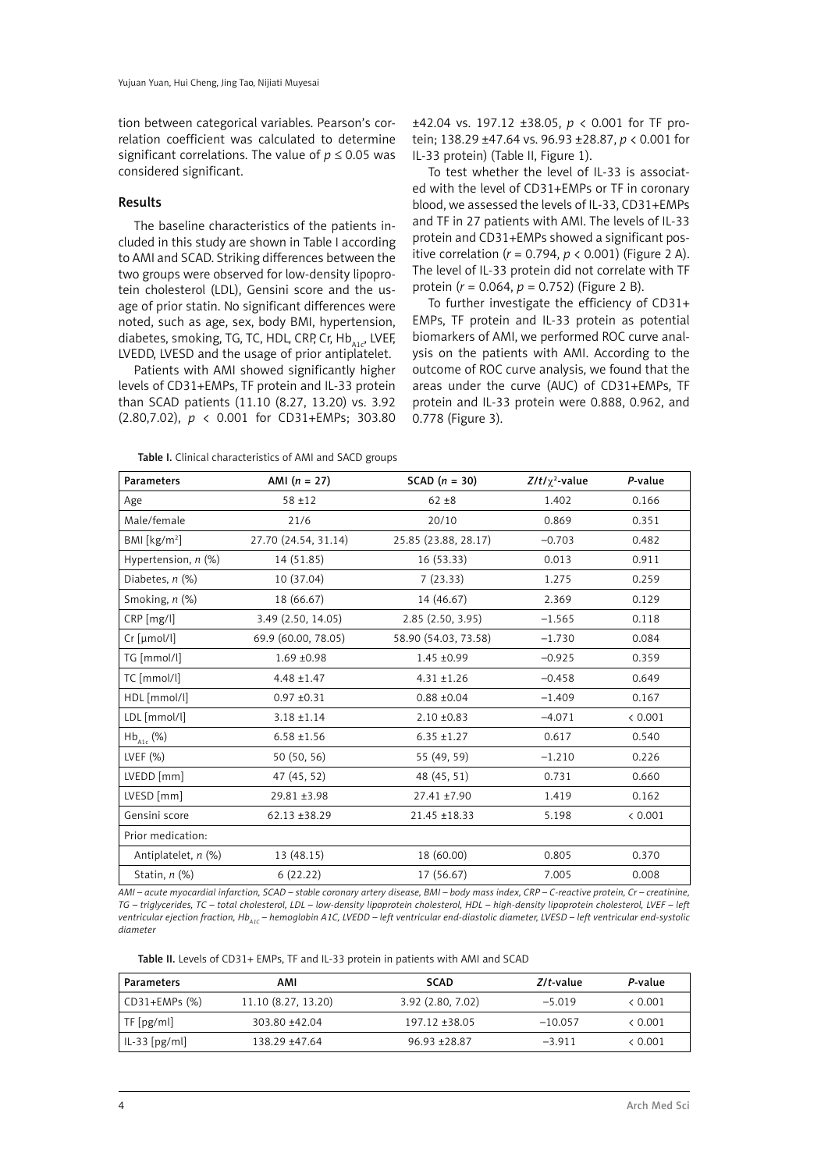tion between categorical variables. Pearson's correlation coefficient was calculated to determine significant correlations. The value of  $p \leq 0.05$  was considered significant.

#### Results

The baseline characteristics of the patients included in this study are shown in Table I according to AMI and SCAD. Striking differences between the two groups were observed for low-density lipoprotein cholesterol (LDL), Gensini score and the usage of prior statin. No significant differences were noted, such as age, sex, body BMI, hypertension, diabetes, smoking, TG, TC, HDL, CRP, Cr,  $Hb_{\text{acc}}$ , LVEF, LVEDD, LVESD and the usage of prior antiplatelet.

Patients with AMI showed significantly higher levels of CD31+EMPs, TF protein and IL-33 protein than SCAD patients (11.10 (8.27, 13.20) vs. 3.92 (2.80,7.02), *p* < 0.001 for CD31+EMPs; 303.80

±42.04 vs. 197.12 ±38.05, *p* < 0.001 for TF protein; 138.29 ±47.64 vs. 96.93 ±28.87, *p* < 0.001 for IL-33 protein) (Table II, Figure 1).

To test whether the level of IL-33 is associated with the level of CD31+EMPs or TF in coronary blood, we assessed the levels of IL-33, CD31+EMPs and TF in 27 patients with AMI. The levels of IL-33 protein and CD31+EMPs showed a significant positive correlation (*r* = 0.794, *p* < 0.001) (Figure 2 A). The level of IL-33 protein did not correlate with TF protein (*r* = 0.064, *p* = 0.752) (Figure 2 B).

To further investigate the efficiency of CD31+ EMPs, TF protein and IL-33 protein as potential biomarkers of AMI, we performed ROC curve analysis on the patients with AMI. According to the outcome of ROC curve analysis, we found that the areas under the curve (AUC) of CD31+EMPs, TF protein and IL-33 protein were 0.888, 0.962, and 0.778 (Figure 3).

Table I. Clinical characteristics of AMI and SACD groups

| <b>Parameters</b>                | AMI $(n = 27)$       | SCAD $(n = 30)$      | $Z/t/\chi^2$ -value | P-value |
|----------------------------------|----------------------|----------------------|---------------------|---------|
| Age                              | $58 + 12$            | $62 + 8$             | 1.402               | 0.166   |
| Male/female                      | 21/6                 | 20/10                | 0.869               | 0.351   |
| BM [kg/m <sup>2</sup> ]          | 27.70 (24.54, 31.14) | 25.85 (23.88, 28.17) | $-0.703$            | 0.482   |
| Hypertension, n (%)              | 14 (51.85)           | 16(53.33)            | 0.013               | 0.911   |
| Diabetes, $n$ $(\%)$             | 10 (37.04)           | 7(23.33)             | 1.275               | 0.259   |
| Smoking, n (%)                   | 18 (66.67)           | 14 (46.67)           | 2.369               | 0.129   |
| CRP [mg/l]                       | 3.49 (2.50, 14.05)   | 2.85(2.50, 3.95)     | $-1.565$            | 0.118   |
| $Cr$ [µmol/l]                    | 69.9 (60.00, 78.05)  | 58.90 (54.03, 73.58) | $-1.730$            | 0.084   |
| TG [mmol/l]                      | $1.69 + 0.98$        | $1.45 \pm 0.99$      | $-0.925$            | 0.359   |
| TC [mmol/l]                      | $4.48 \pm 1.47$      | $4.31 \pm 1.26$      | $-0.458$            | 0.649   |
| HDL [mmol/l]                     | $0.97 + 0.31$        | $0.88 + 0.04$        | $-1.409$            | 0.167   |
| LDL [mmol/l]                     | $3.18 \pm 1.14$      | $2.10 \pm 0.83$      | $-4.071$            | < 0.001 |
| $\mathsf{Hb}_{\mathsf{A1c}}$ (%) | $6.58 + 1.56$        | $6.35 \pm 1.27$      | 0.617               | 0.540   |
| LVEF $(%)$                       | 50 (50, 56)          | 55 (49, 59)          | $-1.210$            | 0.226   |
| LVEDD [mm]                       | 47 (45, 52)          | 48 (45, 51)          | 0.731               | 0.660   |
| $LVESD$ [mm]                     | 29.81 ±3.98          | 27.41 ±7.90          | 1.419               | 0.162   |
| Gensini score                    | 62.13 ±38.29         | 21.45 ±18.33         | 5.198               | < 0.001 |
| Prior medication:                |                      |                      |                     |         |
| Antiplatelet, n (%)              | 13 (48.15)           | 18 (60.00)           | 0.805               | 0.370   |
| Statin, $n$ $(\%)$               | 6(22.22)             | 17 (56.67)           | 7.005               | 0.008   |

*AMI – acute myocardial infarction, SCAD – stable coronary artery disease, BMI – body mass index, CRP – C-reactive protein, Cr – creatinine, TG – triglycerides, TC – total cholesterol, LDL – low-density lipoprotein cholesterol, HDL – high-density lipoprotein cholesterol, LVEF – left*  ventricular ejection fraction, Hb<sub>A1C</sub> – hemoglobin A1C, LVEDD – left ventricular end-diastolic diameter, LVESD – left ventricular end-systolic *diameter*

Table II. Levels of CD31+ EMPs, TF and IL-33 protein in patients with AMI and SCAD

| Parameters                            | AMI                 | <b>SCAD</b>      | Z/t-value | P-value |
|---------------------------------------|---------------------|------------------|-----------|---------|
| $\vert$ CD31+EMPs $\langle\% \rangle$ | 11.10 (8.27, 13.20) | 3.92(2.80, 7.02) | $-5.019$  | & 0.001 |
| $T_F[pg/ml]$                          | 303.80 +42.04       | $197.12 + 38.05$ | $-10.057$ | & 0.001 |
| IL-33 [pg/ml]                         | 138.29 +47.64       | $96.93 + 28.87$  | $-3.911$  | & 0.001 |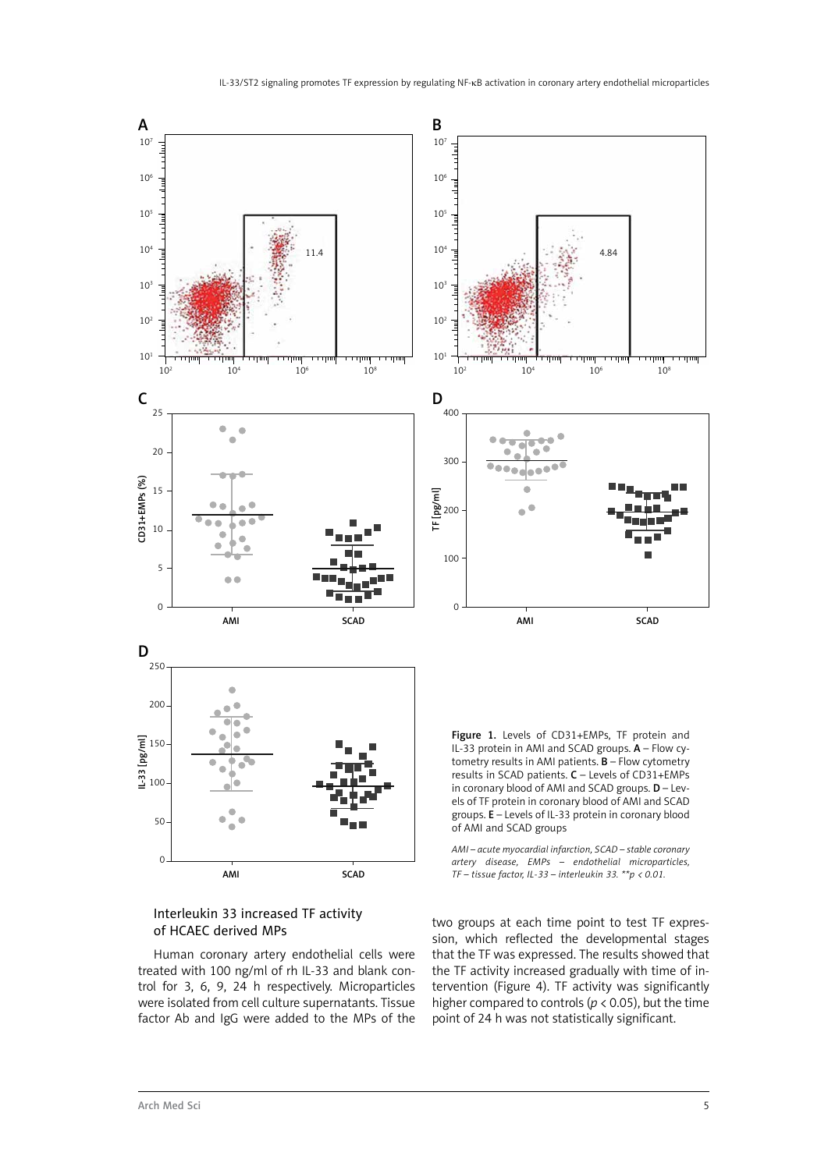



Human coronary artery endothelial cells were treated with 100 ng/ml of rh IL-33 and blank control for 3, 6, 9, 24 h respectively. Microparticles were isolated from cell culture supernatants. Tissue factor Ab and IgG were added to the MPs of the two groups at each time point to test TF expression, which reflected the developmental stages that the TF was expressed. The results showed that the TF activity increased gradually with time of intervention (Figure 4). TF activity was significantly higher compared to controls ( $p$  < 0.05), but the time point of 24 h was not statistically significant.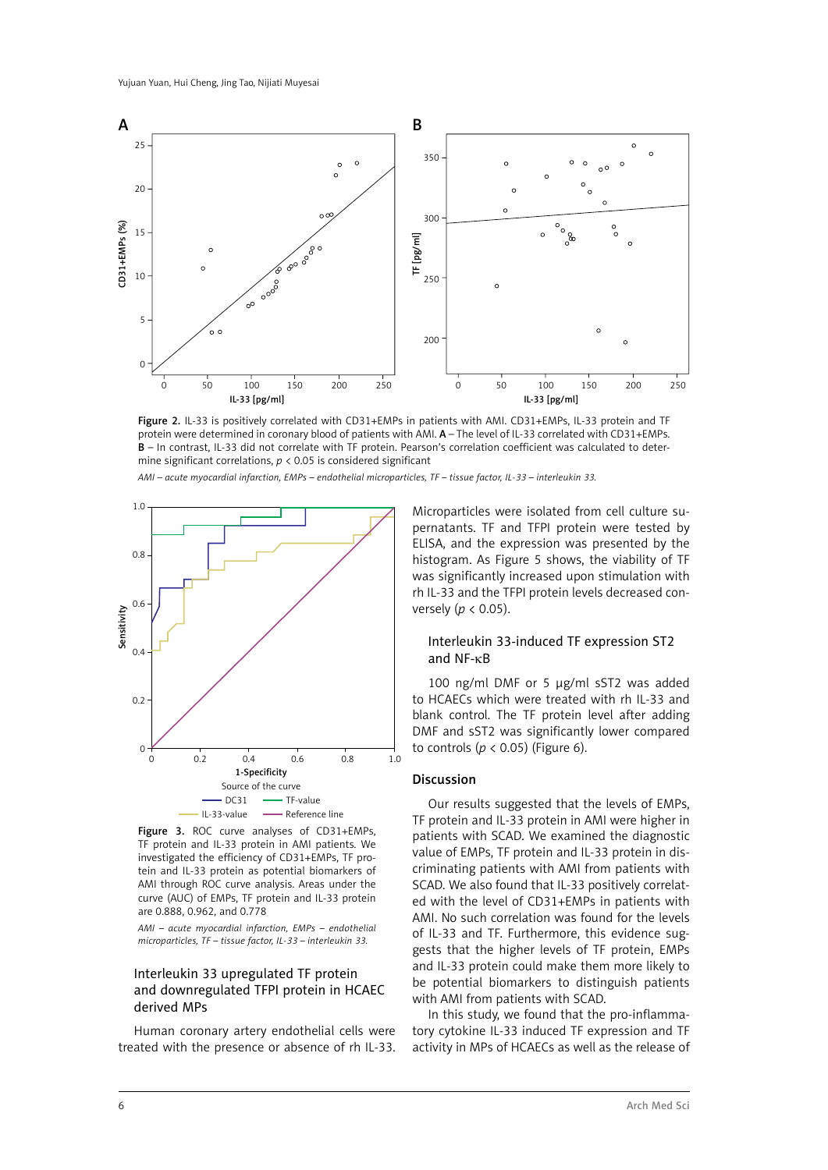

Figure 2. IL-33 is positively correlated with CD31+EMPs in patients with AMI. CD31+EMPs, IL-33 protein and TF protein were determined in coronary blood of patients with AMI. A – The level of IL-33 correlated with CD31+EMPs. B – In contrast, IL-33 did not correlate with TF protein. Pearson's correlation coefficient was calculated to determine significant correlations, *p* < 0.05 is considered significant

*AMI – acute myocardial infarction, EMPs – endothelial microparticles, TF – tissue factor, IL-33 – interleukin 33.*



Figure 3. ROC curve analyses of CD31+EMPs. TF protein and IL-33 protein in AMI patients. We investigated the efficiency of CD31+EMPs, TF protein and IL-33 protein as potential biomarkers of AMI through ROC curve analysis. Areas under the curve (AUC) of EMPs, TF protein and IL-33 protein are 0.888, 0.962, and 0.778

*AMI – acute myocardial infarction, EMPs – endothelial microparticles, TF – tissue factor, IL-33 – interleukin 33.*

## Interleukin 33 upregulated TF protein and downregulated TFPI protein in HCAEC derived MPs

Human coronary artery endothelial cells were treated with the presence or absence of rh IL-33.

Microparticles were isolated from cell culture supernatants. TF and TFPI protein were tested by ELISA, and the expression was presented by the histogram. As Figure 5 shows, the viability of TF was significantly increased upon stimulation with rh IL-33 and the TFPI protein levels decreased conversely (*p* < 0.05).

#### Interleukin 33-induced TF expression ST2 and NF-κB

100 ng/ml DMF or 5 µg/ml sST2 was added to HCAECs which were treated with rh IL-33 and blank control. The TF protein level after adding DMF and sST2 was significantly lower compared to controls (*p* < 0.05) (Figure 6).

#### **Discussion**

Our results suggested that the levels of EMPs, TF protein and IL-33 protein in AMI were higher in patients with SCAD. We examined the diagnostic value of EMPs, TF protein and IL-33 protein in discriminating patients with AMI from patients with SCAD. We also found that IL-33 positively correlated with the level of CD31+EMPs in patients with AMI. No such correlation was found for the levels of IL-33 and TF. Furthermore, this evidence suggests that the higher levels of TF protein, EMPs and IL-33 protein could make them more likely to be potential biomarkers to distinguish patients with AMI from patients with SCAD.

In this study, we found that the pro-inflammatory cytokine IL-33 induced TF expression and TF activity in MPs of HCAECs as well as the release of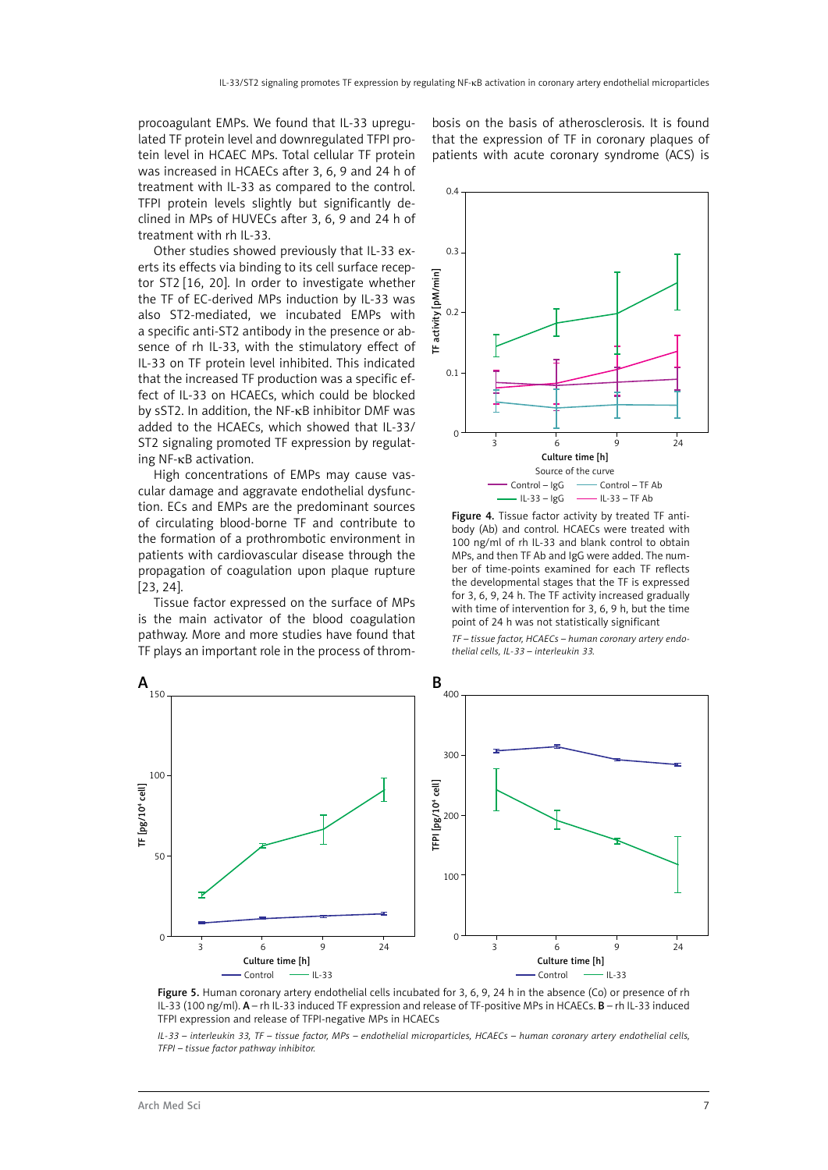procoagulant EMPs. We found that IL-33 upregulated TF protein level and downregulated TFPI protein level in HCAEC MPs. Total cellular TF protein was increased in HCAECs after 3, 6, 9 and 24 h of treatment with IL-33 as compared to the control. TFPI protein levels slightly but significantly declined in MPs of HUVECs after 3, 6, 9 and 24 h of treatment with rh IL-33.

Other studies showed previously that IL-33 exerts its effects via binding to its cell surface receptor ST2 [16, 20]. In order to investigate whether the TF of EC-derived MPs induction by IL-33 was also ST2-mediated, we incubated EMPs with a specific anti-ST2 antibody in the presence or absence of rh IL-33, with the stimulatory effect of IL-33 on TF protein level inhibited. This indicated that the increased TF production was a specific effect of IL-33 on HCAECs, which could be blocked by sST2. In addition, the NF-κB inhibitor DMF was added to the HCAECs, which showed that IL-33/ ST2 signaling promoted TF expression by regulating NF-κB activation.

High concentrations of EMPs may cause vascular damage and aggravate endothelial dysfunction. ECs and EMPs are the predominant sources of circulating blood-borne TF and contribute to the formation of a prothrombotic environment in patients with cardiovascular disease through the propagation of coagulation upon plaque rupture [23, 24].

Tissue factor expressed on the surface of MPs is the main activator of the blood coagulation pathway. More and more studies have found that TF plays an important role in the process of throm-

bosis on the basis of atherosclerosis. It is found that the expression of TF in coronary plaques of patients with acute coronary syndrome (ACS) is



Figure 4. Tissue factor activity by treated TF antibody (Ab) and control. HCAECs were treated with 100 ng/ml of rh IL-33 and blank control to obtain MPs, and then TF Ab and IgG were added. The number of time-points examined for each TF reflects the developmental stages that the TF is expressed for 3, 6, 9, 24 h. The TF activity increased gradually with time of intervention for 3, 6, 9 h, but the time point of 24 h was not statistically significant

*TF – tissue factor, HCAECs – human coronary artery endothelial cells, IL-33 – interleukin 33.*



Figure 5. Human coronary artery endothelial cells incubated for 3, 6, 9, 24 h in the absence (Co) or presence of rh IL-33 (100 ng/ml). A – rh IL-33 induced TF expression and release of TF-positive MPs in HCAECs. B – rh IL-33 induced TFPI expression and release of TFPI-negative MPs in HCAECs

*IL-33 – interleukin 33, TF – tissue factor, MPs – endothelial microparticles, HCAECs – human coronary artery endothelial cells, TFPI – tissue factor pathway inhibitor.*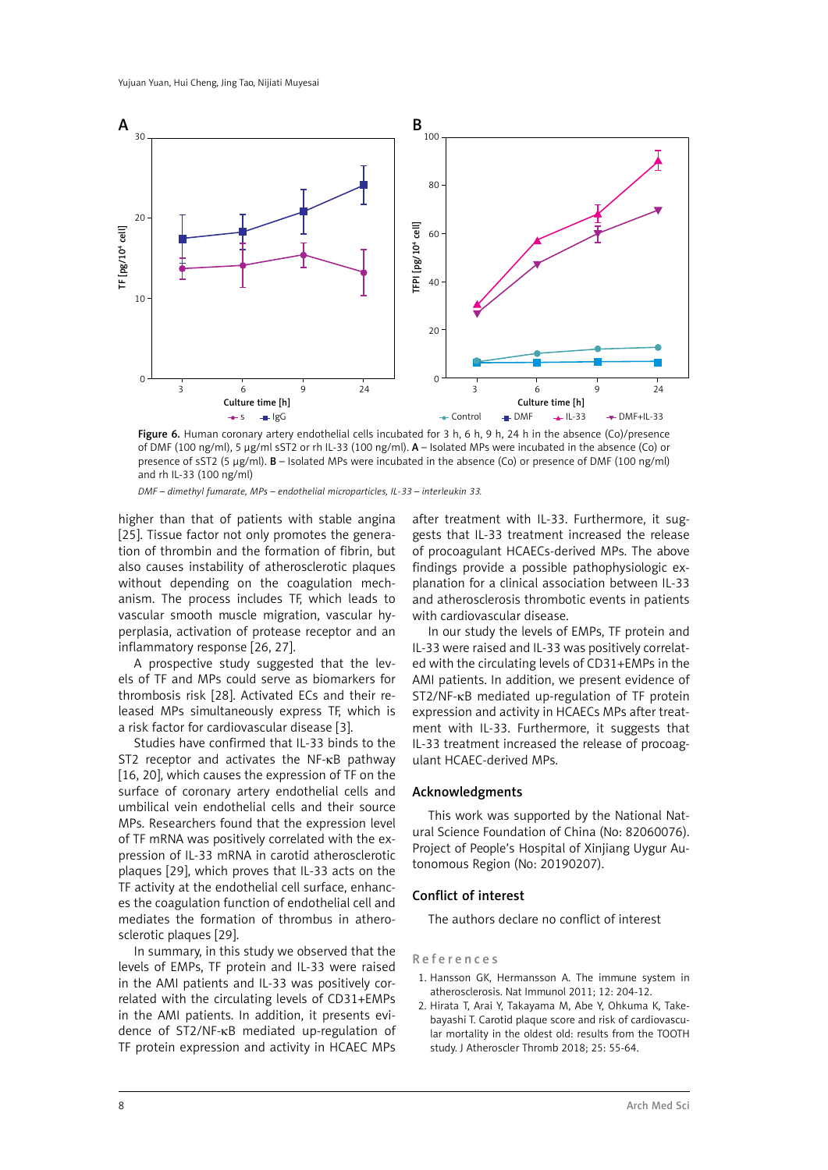

Figure 6. Human coronary artery endothelial cells incubated for 3 h, 6 h, 9 h, 24 h in the absence (Co)/presence of DMF (100 ng/ml), 5 µg/ml sST2 or rh IL-33 (100 ng/ml). A – Isolated MPs were incubated in the absence (Co) or presence of sST2 (5 µg/ml). B – Isolated MPs were incubated in the absence (Co) or presence of DMF (100 ng/ml) and rh IL-33 (100 ng/ml)

*DMF – dimethyl fumarate, MPs – endothelial microparticles, IL-33 – interleukin 33.*

higher than that of patients with stable angina [25]. Tissue factor not only promotes the generation of thrombin and the formation of fibrin, but also causes instability of atherosclerotic plaques without depending on the coagulation mechanism. The process includes TF, which leads to vascular smooth muscle migration, vascular hyperplasia, activation of protease receptor and an inflammatory response [26, 27].

A prospective study suggested that the levels of TF and MPs could serve as biomarkers for thrombosis risk [28]. Activated ECs and their released MPs simultaneously express TF, which is a risk factor for cardiovascular disease [3].

Studies have confirmed that IL-33 binds to the ST2 receptor and activates the NF-κB pathway [16, 20], which causes the expression of TF on the surface of coronary artery endothelial cells and umbilical vein endothelial cells and their source MPs. Researchers found that the expression level of TF mRNA was positively correlated with the expression of IL-33 mRNA in carotid atherosclerotic plaques [29], which proves that IL-33 acts on the TF activity at the endothelial cell surface, enhances the coagulation function of endothelial cell and mediates the formation of thrombus in atherosclerotic plaques [29].

In summary, in this study we observed that the levels of EMPs, TF protein and IL-33 were raised in the AMI patients and IL-33 was positively correlated with the circulating levels of CD31+EMPs in the AMI patients. In addition, it presents evidence of ST2/NF-κB mediated up-regulation of TF protein expression and activity in HCAEC MPs after treatment with IL-33. Furthermore, it suggests that IL-33 treatment increased the release of procoagulant HCAECs-derived MPs. The above findings provide a possible pathophysiologic explanation for a clinical association between IL-33 and atherosclerosis thrombotic events in patients with cardiovascular disease.

In our study the levels of EMPs, TF protein and IL-33 were raised and IL-33 was positively correlated with the circulating levels of CD31+EMPs in the AMI patients. In addition, we present evidence of ST2/NF-κB mediated up-regulation of TF protein expression and activity in HCAECs MPs after treatment with IL-33. Furthermore, it suggests that IL-33 treatment increased the release of procoagulant HCAEC-derived MPs.

#### Acknowledgments

This work was supported by the National Natural Science Foundation of China (No: 82060076). Project of People's Hospital of Xinjiang Uygur Autonomous Region (No: 20190207).

#### Conflict of interest

The authors declare no conflict of interest

#### References

- 1. Hansson GK, Hermansson A. The immune system in atherosclerosis. Nat Immunol 2011; 12: 204-12.
- 2. Hirata T, Arai Y, Takayama M, Abe Y, Ohkuma K, Takebayashi T. Carotid plaque score and risk of cardiovascular mortality in the oldest old: results from the TOOTH study. J Atheroscler Thromb 2018; 25: 55-64.